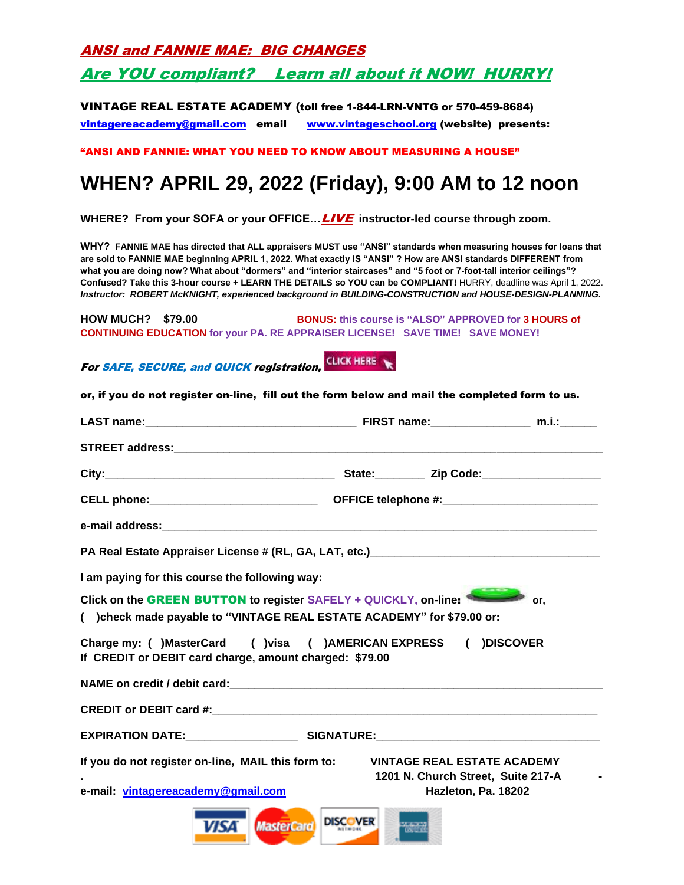ANSI and FANNIE MAE: BIG CHANGES

### Are YOU compliant? Learn all about it NOW! HURRY!

#### VINTAGE REAL ESTATE ACADEMY (toll free 1-844-LRN-VNTG or 570-459-8684)

[vintagereacademy@gmail.com](mailto:vintagereacademy@gmail.com) email [www.vintageschool.org](http://www.vintageschool.org/) (website) presents:

"ANSI AND FANNIE: WHAT YOU NEED TO KNOW ABOUT MEASURING A HOUSE"

# **WHEN? APRIL 29, 2022 (Friday), 9:00 AM to 12 noon**

**WHERE? From your SOFA or your OFFICE…**LIVE **instructor-led course through zoom.** 

**WHY? FANNIE MAE has directed that ALL appraisers MUST use "ANSI" standards when measuring houses for loans that are sold to FANNIE MAE beginning APRIL 1, 2022. What exactly IS "ANSI" ? How are ANSI standards DIFFERENT from what you are doing now? What about "dormers" and "interior staircases" and "5 foot or 7-foot-tall interior ceilings"? Confused? Take this 3-hour course + LEARN THE DETAILS so YOU can be COMPLIANT!** HURRY, deadline was April 1, 2022. *Instructor: ROBERT McKNIGHT, experienced background in BUILDING-CONSTRUCTION and HOUSE-DESIGN-PLANNING***.** 

**HOW MUCH? \$79.00 BONUS: this course is "ALSO" APPROVED for 3 HOURS of CONTINUING EDUCATION for your PA. RE APPRAISER LICENSE! SAVE TIME! SAVE MONEY!** 

ForSAFE, SECURE, and QUICK registration, CLICK HERE

| I am paying for this course the following way:          |                                                                                                                                                   |
|---------------------------------------------------------|---------------------------------------------------------------------------------------------------------------------------------------------------|
|                                                         |                                                                                                                                                   |
|                                                         | Click on the GREEN BUTTON to register SAFELY + QUICKLY, on-line:<br>or.<br>( )check made payable to "VINTAGE REAL ESTATE ACADEMY" for \$79.00 or: |
|                                                         | Charge my: ( )MasterCard ( )visa ( )AMERICAN EXPRESS ( )DISCOVER                                                                                  |
|                                                         | NAME on credit / debit card: www.communications.com/www.communications.com/www.com                                                                |
|                                                         |                                                                                                                                                   |
| If CREDIT or DEBIT card charge, amount charged: \$79.00 |                                                                                                                                                   |
| If you do not register on-line, MAIL this form to:      | <b>VINTAGE REAL ESTATE ACADEMY</b><br>1201 N. Church Street, Suite 217-A                                                                          |